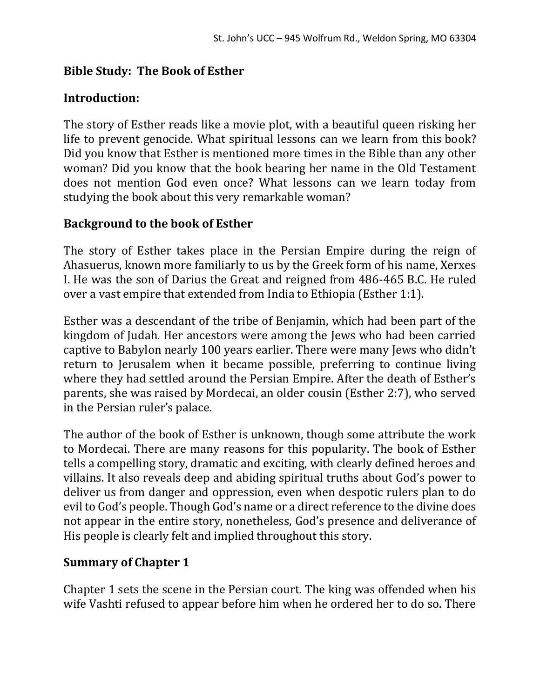### **Bible Study: The Book of Esther**

#### **Introduction:**

The story of Esther reads like a movie plot, with a beautiful queen risking her life to prevent genocide. What spiritual lessons can we learn from this book? Did you know that Esther is mentioned more times in the Bible than any other woman? Did you know that the book bearing her name in the Old Testament does not mention God even once? What lessons can we learn today from studying the book about this very remarkable woman?

#### **Background to the book of Esther**

The story of Esther takes place in the Persian Empire during the reign of Ahasuerus, known more familiarly to us by the Greek form of his name, Xerxes I. He was the son of Darius the Great and reigned from 486-465 B.C. He ruled over a vast empire that extended from India to Ethiopia (Esther 1:1).

Esther was a descendant of the tribe of Benjamin, which had been part of the kingdom of Judah. Her ancestors were among the Jews who had been carried captive to Babylon nearly 100 years earlier. There were many Jews who didn't return to Jerusalem when it became possible, preferring to continue living where they had settled around the Persian Empire. After the death of Esther's parents, she was raised by Mordecai, an older cousin (Esther 2:7), who served in the Persian ruler's palace.

The author of the book of Esther is unknown, though some attribute the work to Mordecai. There are many reasons for this popularity. The book of Esther tells a compelling story, dramatic and exciting, with clearly defined heroes and villains. It also reveals deep and abiding spiritual truths about God's power to deliver us from danger and oppression, even when despotic rulers plan to do evil to God's people. Though God's name or a direct reference to the divine does not appear in the entire story, nonetheless, God's presence and deliverance of His people is clearly felt and implied throughout this story.

#### **Summary of Chapter 1**

Chapter 1 sets the scene in the Persian court. The king was offended when his wife Vashti refused to appear before him when he ordered her to do so. There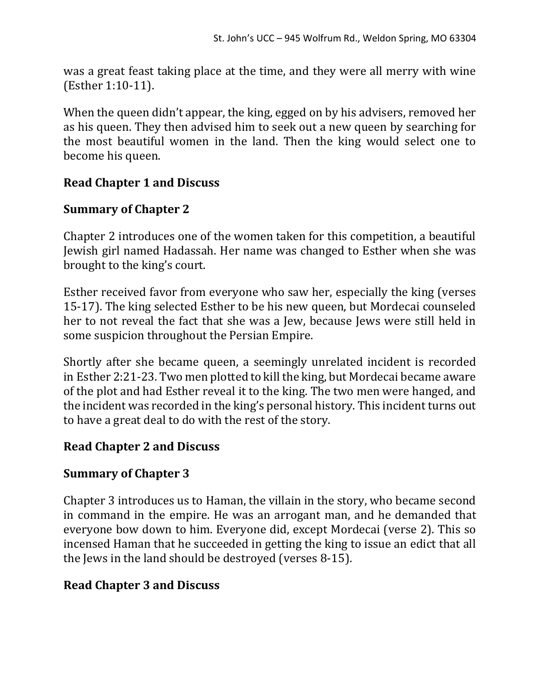was a great feast taking place at the time, and they were all merry with wine (Esther 1:10-11).

When the queen didn't appear, the king, egged on by his advisers, removed her as his queen. They then advised him to seek out a new queen by searching for the most beautiful women in the land. Then the king would select one to become his queen.

# **Read Chapter 1 and Discuss**

## **Summary of Chapter 2**

Chapter 2 introduces one of the women taken for this competition, a beautiful Jewish girl named Hadassah. Her name was changed to Esther when she was brought to the king's court.

Esther received favor from everyone who saw her, especially the king (verses 15-17). The king selected Esther to be his new queen, but Mordecai counseled her to not reveal the fact that she was a Jew, because Jews were still held in some suspicion throughout the Persian Empire.

Shortly after she became queen, a seemingly unrelated incident is recorded in Esther 2:21-23. Two men plotted to kill the king, but Mordecai became aware of the plot and had Esther reveal it to the king. The two men were hanged, and the incident was recorded in the king's personal history. This incident turns out to have a great deal to do with the rest of the story.

### **Read Chapter 2 and Discuss**

### **Summary of Chapter 3**

Chapter 3 introduces us to Haman, the villain in the story, who became second in command in the empire. He was an arrogant man, and he demanded that everyone bow down to him. Everyone did, except Mordecai (verse 2). This so incensed Haman that he succeeded in getting the king to issue an edict that all the Jews in the land should be destroyed (verses 8-15).

### **Read Chapter 3 and Discuss**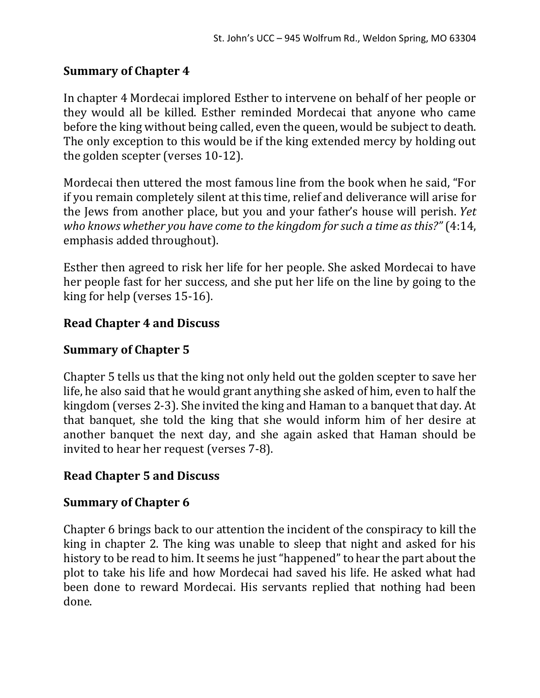# **Summary of Chapter 4**

In chapter 4 Mordecai implored Esther to intervene on behalf of her people or they would all be killed. Esther reminded Mordecai that anyone who came before the king without being called, even the queen, would be subject to death. The only exception to this would be if the king extended mercy by holding out the golden scepter (verses 10-12).

Mordecai then uttered the most famous line from the book when he said, "For if you remain completely silent at this time, relief and deliverance will arise for the Jews from another place, but you and your father's house will perish. *Yet who knows whether you have come to the kingdom for such a time as this?"* (4:14, emphasis added throughout).

Esther then agreed to risk her life for her people. She asked Mordecai to have her people fast for her success, and she put her life on the line by going to the king for help (verses 15-16).

## **Read Chapter 4 and Discuss**

## **Summary of Chapter 5**

Chapter 5 tells us that the king not only held out the golden scepter to save her life, he also said that he would grant anything she asked of him, even to half the kingdom (verses 2-3). She invited the king and Haman to a banquet that day. At that banquet, she told the king that she would inform him of her desire at another banquet the next day, and she again asked that Haman should be invited to hear her request (verses 7-8).

### **Read Chapter 5 and Discuss**

### **Summary of Chapter 6**

Chapter 6 brings back to our attention the incident of the conspiracy to kill the king in chapter 2. The king was unable to sleep that night and asked for his history to be read to him. It seems he just "happened" to hear the part about the plot to take his life and how Mordecai had saved his life. He asked what had been done to reward Mordecai. His servants replied that nothing had been done.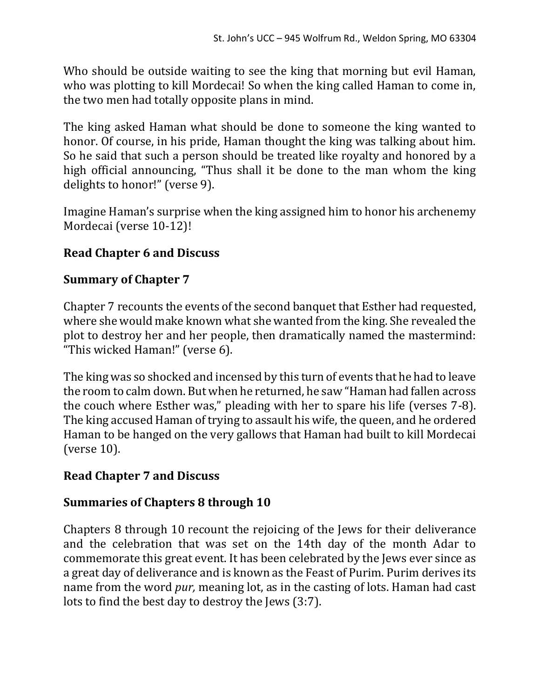Who should be outside waiting to see the king that morning but evil Haman, who was plotting to kill Mordecai! So when the king called Haman to come in, the two men had totally opposite plans in mind.

The king asked Haman what should be done to someone the king wanted to honor. Of course, in his pride, Haman thought the king was talking about him. So he said that such a person should be treated like royalty and honored by a high official announcing, "Thus shall it be done to the man whom the king delights to honor!" (verse 9).

Imagine Haman's surprise when the king assigned him to honor his archenemy Mordecai (verse 10-12)!

# **Read Chapter 6 and Discuss**

### **Summary of Chapter 7**

Chapter 7 recounts the events of the second banquet that Esther had requested, where she would make known what she wanted from the king. She revealed the plot to destroy her and her people, then dramatically named the mastermind: "This wicked Haman!" (verse 6).

The king was so shocked and incensed by this turn of events that he had to leave the room to calm down. But when he returned, he saw "Haman had fallen across the couch where Esther was," pleading with her to spare his life (verses 7-8). The king accused Haman of trying to assault his wife, the queen, and he ordered Haman to be hanged on the very gallows that Haman had built to kill Mordecai (verse 10).

### **Read Chapter 7 and Discuss**

### **Summaries of Chapters 8 through 10**

Chapters 8 through 10 recount the rejoicing of the Jews for their deliverance and the celebration that was set on the 14th day of the month Adar to commemorate this great event. It has been celebrated by the Jews ever since as a great day of deliverance and is known as the Feast of Purim. Purim derives its name from the word *pur,* meaning lot, as in the casting of lots. Haman had cast lots to find the best day to destroy the Jews (3:7).